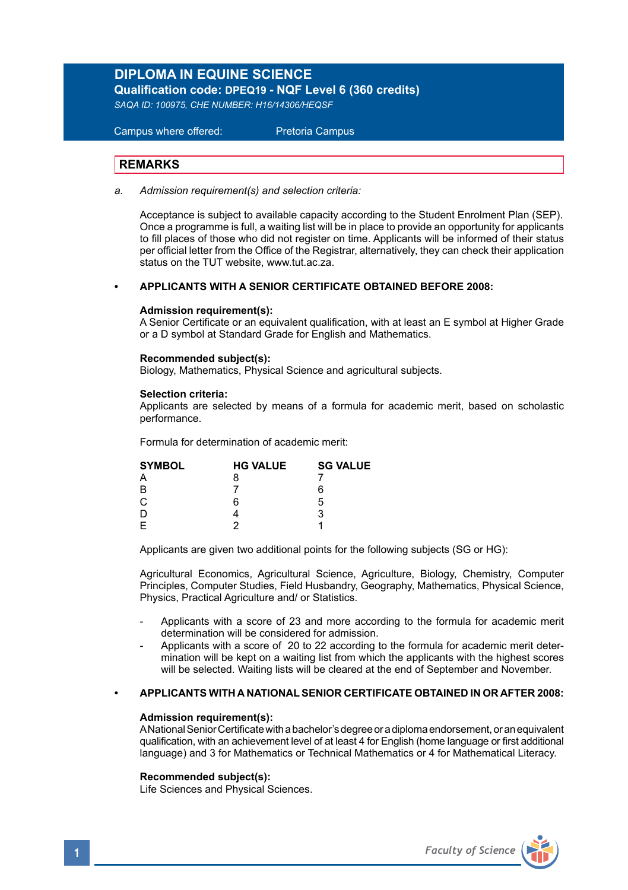# **DIPLOMA IN EQUINE SCIENCE**

**Qualification code: DPEQ19 - NQF Level 6 (360 credits)** 

*SAQA ID: 100975, CHE NUMBER: H16/14306/HEQSF*

 Campus where offered: Pretoria Campus

## **REMARKS**

*a. Admission requirement(s) and selection criteria:* 

Acceptance is subject to available capacity according to the Student Enrolment Plan (SEP). Once a programme is full, a waiting list will be in place to provide an opportunity for applicants to fill places of those who did not register on time. Applicants will be informed of their status per official letter from the Office of the Registrar, alternatively, they can check their application status on the TUT website, www.tut.ac.za.

## **• APPLICANTS WITH A SENIOR CERTIFICATE OBTAINED BEFORE 2008:**

#### **Admission requirement(s):**

A Senior Certificate or an equivalent qualification, with at least an E symbol at Higher Grade or a D symbol at Standard Grade for English and Mathematics.

#### **Recommended subject(s):**

Biology, Mathematics, Physical Science and agricultural subjects.

#### **Selection criteria:**

Applicants are selected by means of a formula for academic merit, based on scholastic performance.

Formula for determination of academic merit:

| <b>HG VALUE</b> | <b>SG VALUE</b> |
|-----------------|-----------------|
|                 |                 |
|                 | ĥ               |
| ค               | 5               |
|                 | 3               |
|                 |                 |
|                 |                 |

Applicants are given two additional points for the following subjects (SG or HG):

Agricultural Economics, Agricultural Science, Agriculture, Biology, Chemistry, Computer Principles, Computer Studies, Field Husbandry, Geography, Mathematics, Physical Science, Physics, Practical Agriculture and/ or Statistics.

- Applicants with a score of 23 and more according to the formula for academic merit determination will be considered for admission.
- Applicants with a score of 20 to 22 according to the formula for academic merit determination will be kept on a waiting list from which the applicants with the highest scores will be selected. Waiting lists will be cleared at the end of September and November.

#### **• APPLICANTS WITH A NATIONAL SENIOR CERTIFICATE OBTAINED IN OR AFTER 2008:**

#### **Admission requirement(s):**

A National Senior Certificate with a bachelor's degree or a diploma endorsement, or an equivalent qualification, with an achievement level of at least 4 for English (home language or first additional language) and 3 for Mathematics or Technical Mathematics or 4 for Mathematical Literacy.

#### **Recommended subject(s):**

Life Sciences and Physical Sciences.

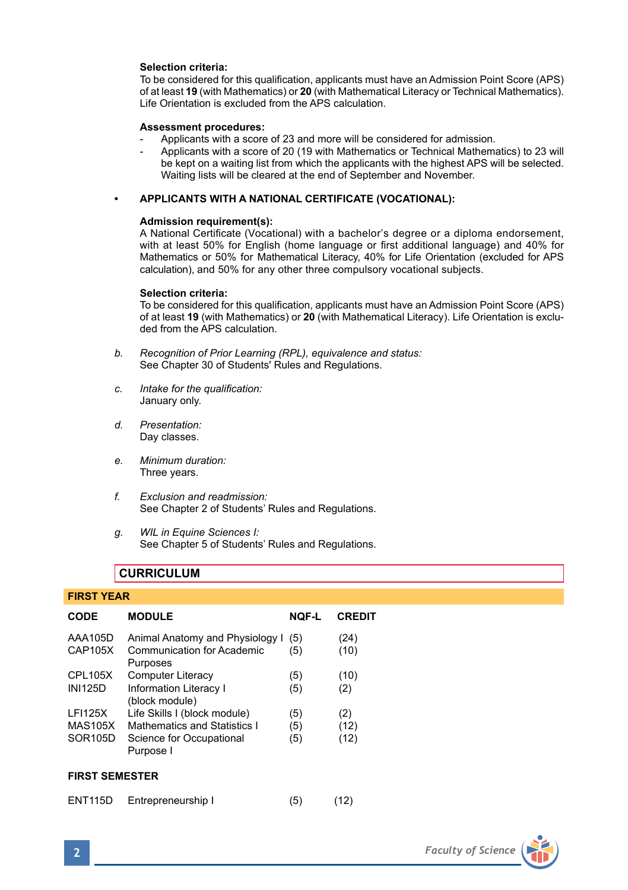#### **Selection criteria:**

To be considered for this qualification, applicants must have an Admission Point Score (APS) of at least **19** (with Mathematics) or **20** (with Mathematical Literacy or Technical Mathematics). Life Orientation is excluded from the APS calculation.

#### **Assessment procedures:**

- Applicants with a score of 23 and more will be considered for admission.
- Applicants with a score of 20 (19 with Mathematics or Technical Mathematics) to 23 will be kept on a waiting list from which the applicants with the highest APS will be selected. Waiting lists will be cleared at the end of September and November.

#### **• APPLICANTS WITH A NATIONAL CERTIFICATE (VOCATIONAL):**

#### **Admission requirement(s):**

A National Certificate (Vocational) with a bachelor's degree or a diploma endorsement, with at least 50% for English (home language or first additional language) and 40% for Mathematics or 50% for Mathematical Literacy, 40% for Life Orientation (excluded for APS calculation), and 50% for any other three compulsory vocational subjects.

#### **Selection criteria:**

To be considered for this qualification, applicants must have an Admission Point Score (APS) of at least **19** (with Mathematics) or **20** (with Mathematical Literacy). Life Orientation is excluded from the APS calculation.

- *b. Recognition of Prior Learning (RPL), equivalence and status:* See Chapter 30 of Students' Rules and Regulations.
- *c. Intake for the qualification:* January only.
- *d. Presentation:* Day classes.
- *e. Minimum duration:* Three years.
- *f. Exclusion and readmission:* See Chapter 2 of Students' Rules and Regulations.
- *g. WIL in Equine Sciences I:* See Chapter 5 of Students' Rules and Regulations.

## **CURRICULUM**

#### **FIRST YEAR**

| <b>CODE</b>                                 | <b>MODULE</b>                                                                                         | NOF-L             | <b>CREDIT</b>       |
|---------------------------------------------|-------------------------------------------------------------------------------------------------------|-------------------|---------------------|
| AAA105D<br>CAP105X                          | Animal Anatomy and Physiology I<br><b>Communication for Academic</b><br>Purposes                      | (5)<br>(5)        | (24)<br>(10)        |
| <b>CPL105X</b><br><b>INI125D</b>            | Computer Literacy<br><b>Information Literacy I</b><br>(block module)                                  | (5)<br>(5)        | (10)<br>(2)         |
| <b>LFI125X</b><br><b>MAS105X</b><br>SOR105D | Life Skills I (block module)<br>Mathematics and Statistics I<br>Science for Occupational<br>Purpose I | (5)<br>(5)<br>(5) | (2)<br>(12)<br>(12) |

#### **FIRST SEMESTER**

| ENT115D | Entrepreneurship I | (5) | (12) |
|---------|--------------------|-----|------|
|---------|--------------------|-----|------|

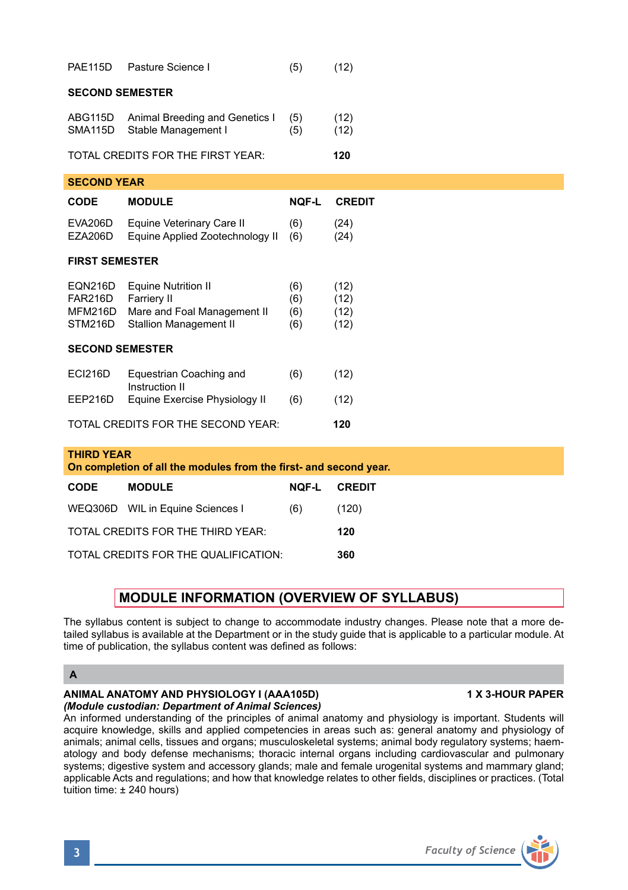| <b>PAE115D</b>                                                                         | Pasture Science I                                                                                         | (5)                      | (12)                         |  |  |  |
|----------------------------------------------------------------------------------------|-----------------------------------------------------------------------------------------------------------|--------------------------|------------------------------|--|--|--|
| <b>SECOND SEMESTER</b>                                                                 |                                                                                                           |                          |                              |  |  |  |
| ABG115D<br>SMA115D                                                                     | Animal Breeding and Genetics I<br>Stable Management I                                                     | (5)<br>(5)               | (12)<br>(12)                 |  |  |  |
| TOTAL CREDITS FOR THE FIRST YEAR:                                                      |                                                                                                           |                          | 120                          |  |  |  |
| <b>SECOND YEAR</b>                                                                     |                                                                                                           |                          |                              |  |  |  |
| <b>CODE</b>                                                                            | <b>MODULE</b>                                                                                             | <b>NQF-L</b>             | <b>CREDIT</b>                |  |  |  |
| EVA206D<br>EZA206D                                                                     | Equine Veterinary Care II<br>Equine Applied Zootechnology II                                              | (6)<br>(6)               | (24)<br>(24)                 |  |  |  |
| <b>FIRST SEMESTER</b>                                                                  |                                                                                                           |                          |                              |  |  |  |
| <b>EQN216D</b><br>FAR216D<br>MFM216D<br>STM216D                                        | <b>Equine Nutrition II</b><br>Farriery II<br>Mare and Foal Management II<br><b>Stallion Management II</b> | (6)<br>(6)<br>(6)<br>(6) | (12)<br>(12)<br>(12)<br>(12) |  |  |  |
| <b>SECOND SEMESTER</b>                                                                 |                                                                                                           |                          |                              |  |  |  |
| <b>ECI216D</b>                                                                         | Equestrian Coaching and<br>Instruction II                                                                 | (6)                      | (12)                         |  |  |  |
| EEP216D                                                                                | Equine Exercise Physiology II                                                                             | (6)                      | (12)                         |  |  |  |
| TOTAL CREDITS FOR THE SECOND YEAR:                                                     |                                                                                                           |                          | 120                          |  |  |  |
| <b>THIRD YEAR</b><br>On completion of all the modules from the first- and second year. |                                                                                                           |                          |                              |  |  |  |
| CODE                                                                                   | <b>MODULE</b>                                                                                             | <b>NOF-L</b>             | <b>CREDIT</b>                |  |  |  |
|                                                                                        | WEQ306D WIL in Equine Sciences I                                                                          | (6)                      | (120)                        |  |  |  |
| TOTAL CREDITS FOR THE THIRD YEAR:<br>120                                               |                                                                                                           |                          |                              |  |  |  |
| TOTAL CREDITS FOR THE QUALIFICATION:<br>360                                            |                                                                                                           |                          |                              |  |  |  |

# **MODULE INFORMATION (OVERVIEW OF SYLLABUS)**

The syllabus content is subject to change to accommodate industry changes. Please note that a more detailed syllabus is available at the Department or in the study guide that is applicable to a particular module. At time of publication, the syllabus content was defined as follows:

## **A**

#### **ANIMAL ANATOMY AND PHYSIOLOGY I (AAA105D) 1 X 3-HOUR PAPER** *(Module custodian: Department of Animal Sciences)*

An informed understanding of the principles of animal anatomy and physiology is important. Students will acquire knowledge, skills and applied competencies in areas such as: general anatomy and physiology of animals; animal cells, tissues and organs; musculoskeletal systems; animal body regulatory systems; haematology and body defense mechanisms; thoracic internal organs including cardiovascular and pulmonary systems; digestive system and accessory glands; male and female urogenital systems and mammary gland; applicable Acts and regulations; and how that knowledge relates to other fields, disciplines or practices. (Total tuition time: ± 240 hours)

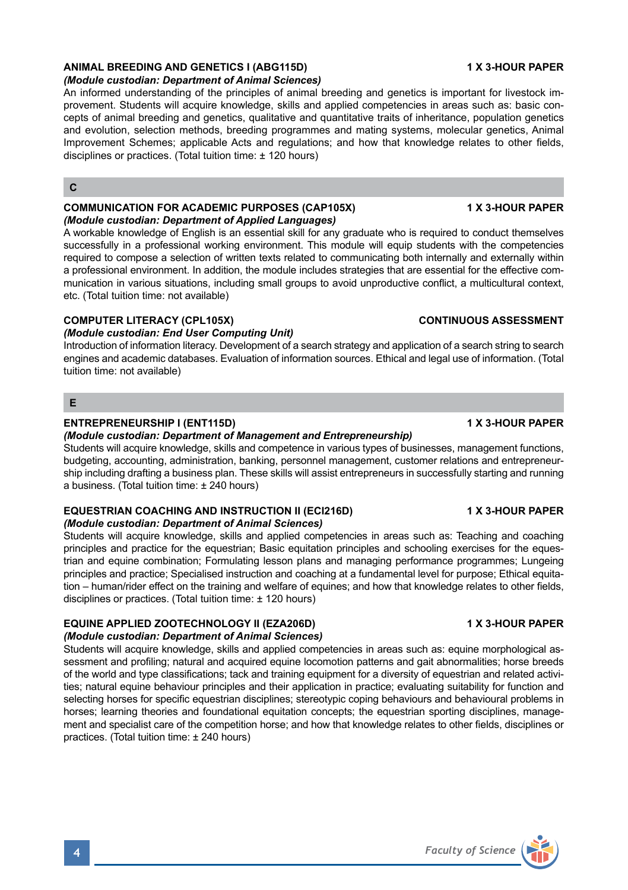# **ANIMAL BREEDING AND GENETICS I (ABG115D) 1 X 3-HOUR PAPER**

## *(Module custodian: Department of Animal Sciences)*

An informed understanding of the principles of animal breeding and genetics is important for livestock improvement. Students will acquire knowledge, skills and applied competencies in areas such as: basic concepts of animal breeding and genetics, qualitative and quantitative traits of inheritance, population genetics and evolution, selection methods, breeding programmes and mating systems, molecular genetics, Animal Improvement Schemes; applicable Acts and regulations; and how that knowledge relates to other fields, disciplines or practices. (Total tuition time: ± 120 hours)

#### **C**

#### **COMMUNICATION FOR ACADEMIC PURPOSES (CAP105X) 1X 3-HOUR PAPER** *(Module custodian: Department of Applied Languages)*

A workable knowledge of English is an essential skill for any graduate who is required to conduct themselves successfully in a professional working environment. This module will equip students with the competencies required to compose a selection of written texts related to communicating both internally and externally within a professional environment. In addition, the module includes strategies that are essential for the effective communication in various situations, including small groups to avoid unproductive conflict, a multicultural context, etc. (Total tuition time: not available)

#### **COMPUTER LITERACY (CPL105X) CONTINUOUS ASSESSMENT**

#### *(Module custodian: End User Computing Unit)*

Introduction of information literacy. Development of a search strategy and application of a search string to search engines and academic databases. Evaluation of information sources. Ethical and legal use of information. (Total tuition time: not available)

#### **E**

#### **ENTREPRENEURSHIP I (ENT115D) 1 X 3-HOUR PAPER**

#### *(Module custodian: Department of Management and Entrepreneurship)*

Students will acquire knowledge, skills and competence in various types of businesses, management functions, budgeting, accounting, administration, banking, personnel management, customer relations and entrepreneurship including drafting a business plan. These skills will assist entrepreneurs in successfully starting and running a business. (Total tuition time: ± 240 hours)

#### **EQUESTRIAN COACHING AND INSTRUCTION II (ECI216D) 1 X 3-HOUR PAPER** *(Module custodian: Department of Animal Sciences)*

Students will acquire knowledge, skills and applied competencies in areas such as: Teaching and coaching principles and practice for the equestrian; Basic equitation principles and schooling exercises for the equestrian and equine combination; Formulating lesson plans and managing performance programmes; Lungeing principles and practice; Specialised instruction and coaching at a fundamental level for purpose; Ethical equitation – human/rider effect on the training and welfare of equines; and how that knowledge relates to other fields, disciplines or practices. (Total tuition time: ± 120 hours)

## **EQUINE APPLIED ZOOTECHNOLOGY II (EZA206D)** 1 X 3-HOUR PAPER

#### *(Module custodian: Department of Animal Sciences)*

Students will acquire knowledge, skills and applied competencies in areas such as: equine morphological assessment and profiling; natural and acquired equine locomotion patterns and gait abnormalities; horse breeds of the world and type classifications; tack and training equipment for a diversity of equestrian and related activities; natural equine behaviour principles and their application in practice; evaluating suitability for function and selecting horses for specific equestrian disciplines; stereotypic coping behaviours and behavioural problems in horses; learning theories and foundational equitation concepts; the equestrian sporting disciplines, management and specialist care of the competition horse; and how that knowledge relates to other fields, disciplines or practices. (Total tuition time: ± 240 hours)

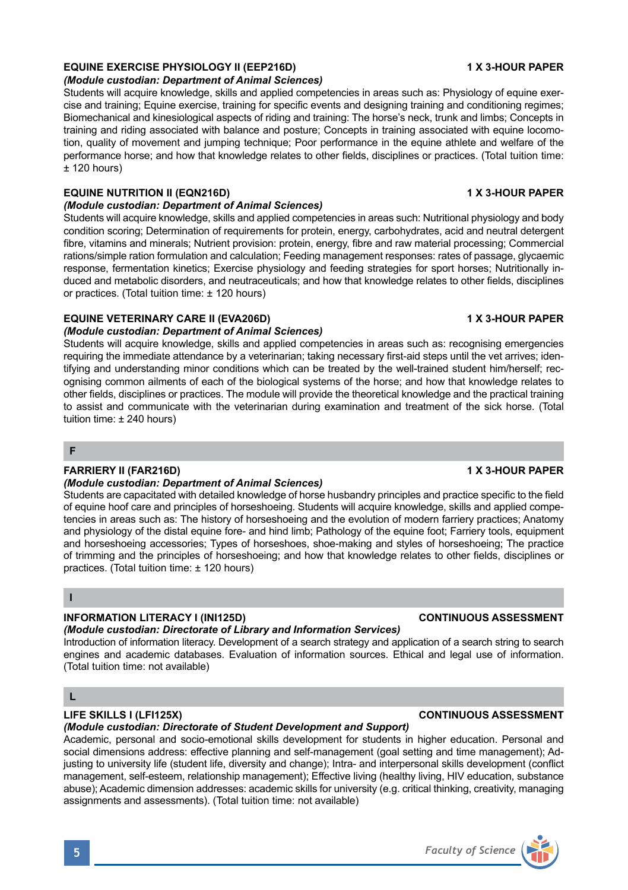# **EQUINE EXERCISE PHYSIOLOGY II (EEP216D)** 1 X 3-HOUR PAPER

#### *(Module custodian: Department of Animal Sciences)*

Students will acquire knowledge, skills and applied competencies in areas such as: Physiology of equine exercise and training; Equine exercise, training for specific events and designing training and conditioning regimes; Biomechanical and kinesiological aspects of riding and training: The horse's neck, trunk and limbs; Concepts in training and riding associated with balance and posture; Concepts in training associated with equine locomotion, quality of movement and jumping technique; Poor performance in the equine athlete and welfare of the performance horse; and how that knowledge relates to other fields, disciplines or practices. (Total tuition time:  $± 120$  hours)

#### **EQUINE NUTRITION II (EQN216D) 1 X 3-HOUR PAPER**

#### *(Module custodian: Department of Animal Sciences)*

Students will acquire knowledge, skills and applied competencies in areas such: Nutritional physiology and body condition scoring; Determination of requirements for protein, energy, carbohydrates, acid and neutral detergent fibre, vitamins and minerals; Nutrient provision: protein, energy, fibre and raw material processing; Commercial rations/simple ration formulation and calculation; Feeding management responses: rates of passage, glycaemic response, fermentation kinetics; Exercise physiology and feeding strategies for sport horses; Nutritionally induced and metabolic disorders, and neutraceuticals; and how that knowledge relates to other fields, disciplines or practices. (Total tuition time: ± 120 hours)

## **EQUINE VETERINARY CARE II (EVA206D) 1 X 3-HOUR PAPER**

#### *(Module custodian: Department of Animal Sciences)*

Students will acquire knowledge, skills and applied competencies in areas such as: recognising emergencies requiring the immediate attendance by a veterinarian; taking necessary first-aid steps until the vet arrives; identifying and understanding minor conditions which can be treated by the well-trained student him/herself; recognising common ailments of each of the biological systems of the horse; and how that knowledge relates to other fields, disciplines or practices. The module will provide the theoretical knowledge and the practical training to assist and communicate with the veterinarian during examination and treatment of the sick horse. (Total tuition time: ± 240 hours)

**F**

#### **FARRIERY II (FAR216D)** 1 X 3-HOUR PAPER

#### *(Module custodian: Department of Animal Sciences)*

Students are capacitated with detailed knowledge of horse husbandry principles and practice specific to the field of equine hoof care and principles of horseshoeing. Students will acquire knowledge, skills and applied competencies in areas such as: The history of horseshoeing and the evolution of modern farriery practices; Anatomy and physiology of the distal equine fore- and hind limb; Pathology of the equine foot; Farriery tools, equipment and horseshoeing accessories; Types of horseshoes, shoe-making and styles of horseshoeing; The practice of trimming and the principles of horseshoeing; and how that knowledge relates to other fields, disciplines or practices. (Total tuition time: ± 120 hours)

**I**

#### **INFORMATION LITERACY I (INI125D) CONTINUOUS ASSESSMENT**

#### *(Module custodian: Directorate of Library and Information Services)*

Introduction of information literacy. Development of a search strategy and application of a search string to search engines and academic databases. Evaluation of information sources. Ethical and legal use of information. (Total tuition time: not available)

## **L**

## **LIFE SKILLS I (LFI125X) CONTINUOUS ASSESSMENT**

## *(Module custodian: Directorate of Student Development and Support)*

Academic, personal and socio-emotional skills development for students in higher education. Personal and social dimensions address: effective planning and self-management (goal setting and time management); Adjusting to university life (student life, diversity and change); Intra- and interpersonal skills development (conflict management, self-esteem, relationship management); Effective living (healthy living, HIV education, substance abuse); Academic dimension addresses: academic skills for university (e.g. critical thinking, creativity, managing assignments and assessments). (Total tuition time: not available)

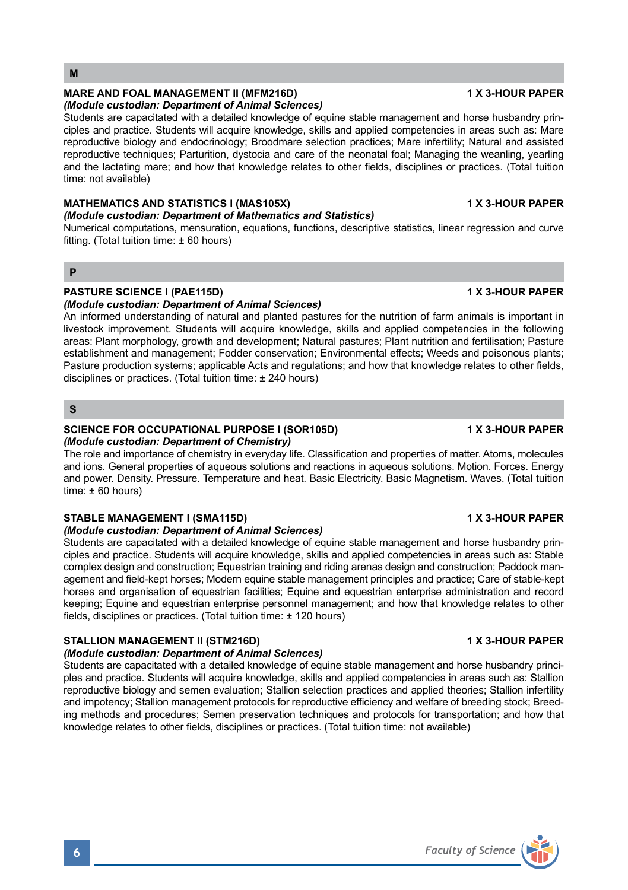Students are capacitated with a detailed knowledge of equine stable management and horse husbandry principles and practice. Students will acquire knowledge, skills and applied competencies in areas such as: Stable complex design and construction; Equestrian training and riding arenas design and construction; Paddock management and field-kept horses; Modern equine stable management principles and practice; Care of stable-kept horses and organisation of equestrian facilities; Equine and equestrian enterprise administration and record keeping; Equine and equestrian enterprise personnel management; and how that knowledge relates to other

## **STALLION MANAGEMENT II (STM216D) 1 X 3-HOUR PAPER**

#### *(Module custodian: Department of Animal Sciences)*

fields, disciplines or practices. (Total tuition time: ± 120 hours)

Students are capacitated with a detailed knowledge of equine stable management and horse husbandry principles and practice. Students will acquire knowledge, skills and applied competencies in areas such as: Stallion reproductive biology and semen evaluation; Stallion selection practices and applied theories; Stallion infertility and impotency; Stallion management protocols for reproductive efficiency and welfare of breeding stock; Breeding methods and procedures; Semen preservation techniques and protocols for transportation; and how that knowledge relates to other fields, disciplines or practices. (Total tuition time: not available)

**PASTURE SCIENCE I (PAE115D) 1 X 3-HOUR PAPER** *(Module custodian: Department of Animal Sciences)* 

An informed understanding of natural and planted pastures for the nutrition of farm animals is important in livestock improvement. Students will acquire knowledge, skills and applied competencies in the following areas: Plant morphology, growth and development; Natural pastures; Plant nutrition and fertilisation; Pasture establishment and management; Fodder conservation; Environmental effects; Weeds and poisonous plants; Pasture production systems; applicable Acts and regulations; and how that knowledge relates to other fields,

# *(Module custodian: Department of Mathematics and Statistics)*

time: not available)

*(Module custodian: Department of Animal Sciences)*

Numerical computations, mensuration, equations, functions, descriptive statistics, linear regression and curve fitting. (Total tuition time:  $\pm 60$  hours)

MATHEMATICS AND STATISTICS I (MAS105X) **1 ACCULD 13 AND A STATISTICS** I (MAS105X)

Students are capacitated with a detailed knowledge of equine stable management and horse husbandry principles and practice. Students will acquire knowledge, skills and applied competencies in areas such as: Mare reproductive biology and endocrinology; Broodmare selection practices; Mare infertility; Natural and assisted reproductive techniques; Parturition, dystocia and care of the neonatal foal; Managing the weanling, yearling and the lactating mare; and how that knowledge relates to other fields, disciplines or practices. (Total tuition

# **P**

**M**

# disciplines or practices. (Total tuition time: ± 240 hours)

## **S**

#### **SCIENCE FOR OCCUPATIONAL PURPOSE I (SOR105D) 1 X 3-HOUR PAPER** *(Module custodian: Department of Chemistry)*

The role and importance of chemistry in everyday life. Classification and properties of matter. Atoms, molecules and ions. General properties of aqueous solutions and reactions in aqueous solutions. Motion. Forces. Energy and power. Density. Pressure. Temperature and heat. Basic Electricity. Basic Magnetism. Waves. (Total tuition time:  $\pm 60$  hours)

# STABLE MANAGEMENT I (SMA115D) **1 X 3-HOUR PAPER**

## *(Module custodian: Department of Animal Sciences)*

# MARE AND FOAL MANAGEMENT II (MFM216D) **1 ACCULATED 12 YOUR PAPER**